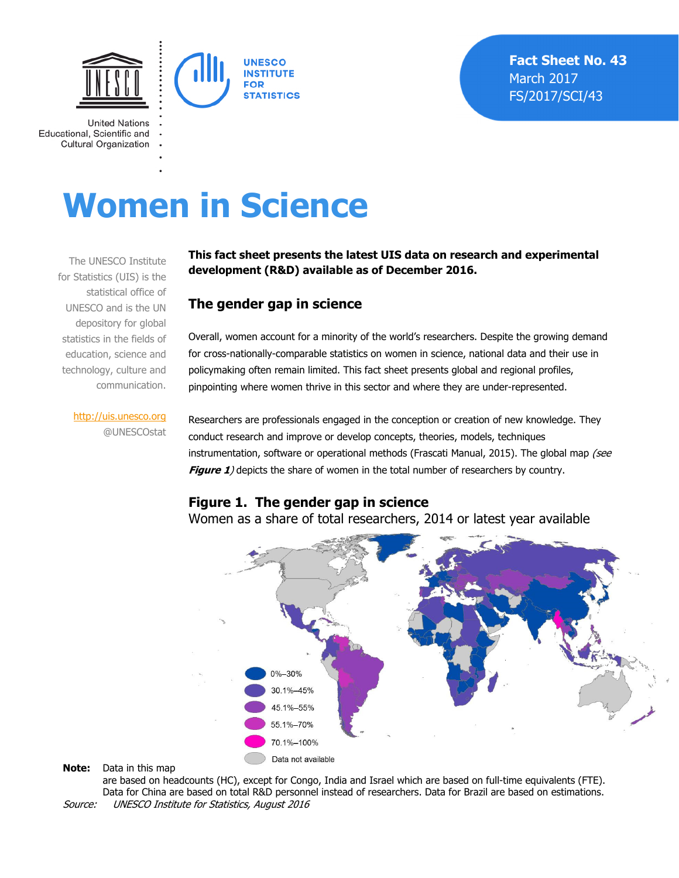

**United Nations** Educational, Scientific and **Cultural Organization** 

# **Women in Science**

The UNESCO Institute for Statistics (UIS) is the statistical office of UNESCO and is the UN depository for global statistics in the fields of education, science and technology, culture and communication.

#### **This fact sheet presents the latest UIS data on research and experimental development (R&D) available as of December 2016.**

#### **The gender gap in science**

Overall, women account for a minority of the world's researchers. Despite the growing demand for cross-nationally-comparable statistics on women in science, national data and their use in policymaking often remain limited. This fact sheet presents global and regional profiles, pinpointing where women thrive in this sector and where they are under-represented.

http://uis.unesco.org @UNESCOstat

Researchers are professionals engaged in the conception or creation of new knowledge. They conduct research and improve or develop concepts, theories, models, techniques instrumentation, software or operational methods (Frascati Manual, 2015). The global map (see **Figure 1**) depicts the share of women in the total number of researchers by country.

#### **Figure 1. The gender gap in science**

Women as a share of total researchers, 2014 or latest year available



**Note:** Data in this map

are based on headcounts (HC), except for Congo, India and Israel which are based on full-time equivalents (FTE). Data for China are based on total R&D personnel instead of researchers. Data for Brazil are based on estimations. Source: UNESCO Institute for Statistics, August 2016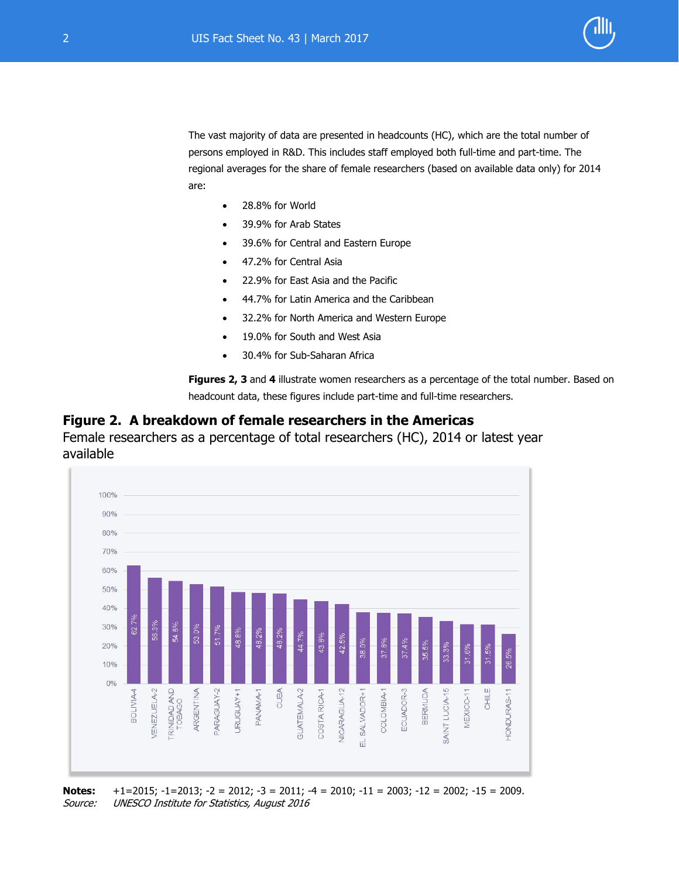

The vast majority of data are presented in headcounts (HC), which are the total number of persons employed in R&D. This includes staff employed both full-time and part-time. The regional averages for the share of female researchers (based on available data only) for 2014 are:

- 28.8% for World
- 39.9% for Arab States
- 39.6% for Central and Eastern Europe
- 47.2% for Central Asia
- 22.9% for East Asia and the Pacific
- 44.7% for Latin America and the Caribbean
- 32.2% for North America and Western Europe
- 19.0% for South and West Asia
- 30.4% for Sub-Saharan Africa

**Figures 2, 3** and **4** illustrate women researchers as a percentage of the total number. Based on headcount data, these figures include part-time and full-time researchers.

#### **Figure 2. A breakdown of female researchers in the Americas**

Female researchers as a percentage of total researchers (HC), 2014 or latest year available



**Notes:** +1=2015; -1=2013; -2 = 2012; -3 = 2011; -4 = 2010; -11 = 2003; -12 = 2002; -15 = 2009. Source: UNESCO Institute for Statistics, August 2016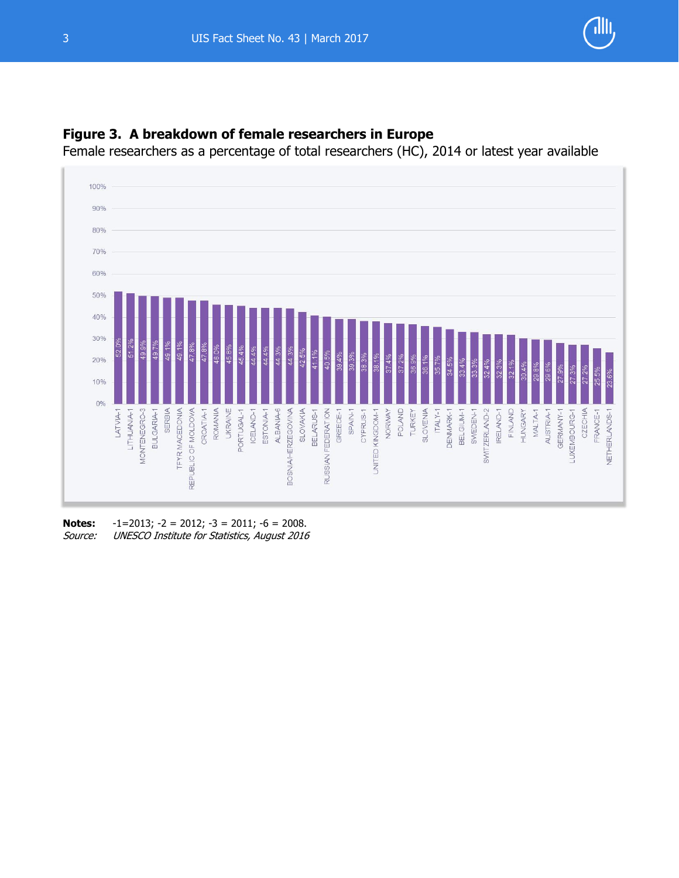



### **Figure 3. A breakdown of female researchers in Europe**

Female researchers as a percentage of total researchers (HC), 2014 or latest year available

**Notes:** -1=2013; -2 = 2012; -3 = 2011; -6 = 2008. Source: UNESCO Institute for Statistics, August 2016